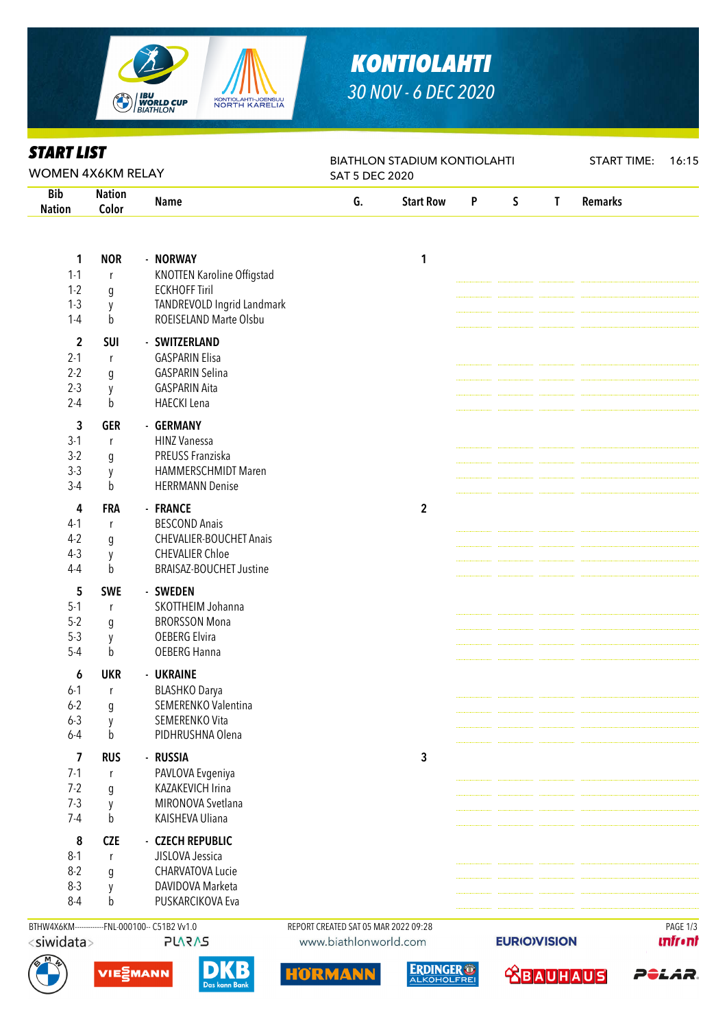

## *KONTIOLAHTI 30 NOV - 6 DEC 2020*

BIATHLON STADIUM KONTIOLAHTI

START TIME: 16:15

|  | <b>START LIST</b> |
|--|-------------------|
|  |                   |

Bib Nation

#### WOMEN 4X6KM RELAY SAT 5 DEC 2020 Nation Name G. Start Row P S T Remarks Color 1 NOR - NORWAY 1 1-1 <sup>r</sup> KNOTTEN Karoline Offigstad 1-2 g ECKHOFF Tiril 1-3 y TANDREVOLD Ingrid Landmark 1-4 b ROEISELAND Marte Olsbu 2 SUI - SWITZERLAND 2-1 <sup>r</sup> GASPARIN Elisa 2-2 g GASPARIN Selina 2-3 y GASPARIN Aita 2-4 b HAECKI Lena 3 GER - GERMANY 3-1 <sup>r</sup> HINZ Vanessa 3-2 g PREUSS Franziska 3-3 y HAMMERSCHMIDT Maren 3-4 b HERRMANN Denise 4 FRA - FRANCE 2 4-1 <sup>r</sup> BESCOND Anais 4-2 g CHEVALIER-BOUCHET Anais 4-3 y CHEVALIER Chloe 4-4 b BRAISAZ-BOUCHET Justine 5 SWE - SWEDEN 5-1 <sup>r</sup> SKOTTHEIM Johanna 5-2 g BRORSSON Mona 5-3 y OEBERG Elvira 5-4 b OEBERG Hanna 6 UKR - UKRAINE 6-1 <sup>r</sup> BLASHKO Darya 6-2 g SEMERENKO Valentina 6-3 y SEMERENKO Vita 6-4 b PIDHRUSHNA Olena 7 RUS - RUSSIA 3 7-1 <sup>r</sup> PAVLOVA Evgeniya 7-2 g KAZAKEVICH Irina 7-3 y MIRONOVA Svetlana 7-4 b KAISHEVA Uliana 8 CZE - CZECH REPUBLIC 8-1 <sup>r</sup> JISLOVA Jessica 8-2 g CHARVATOVA Lucie 8-3 y DAVIDOVA Marketa 8-4 b PUSKARCIKOVA Eva BTHW4X6KM-------------FNL-000100-- C51B2 Vv1.0 REPORT CREATED SAT 05 MAR 2022 09:28 PAGE 1/3<siwidata> **PLARAS** www.biathlonworld.com **EURIO)VISION Infr**•nt **ERDINGER<sup>®</sup>** VIESMANN **ABAUHAUS** P<del>o</del>lar. m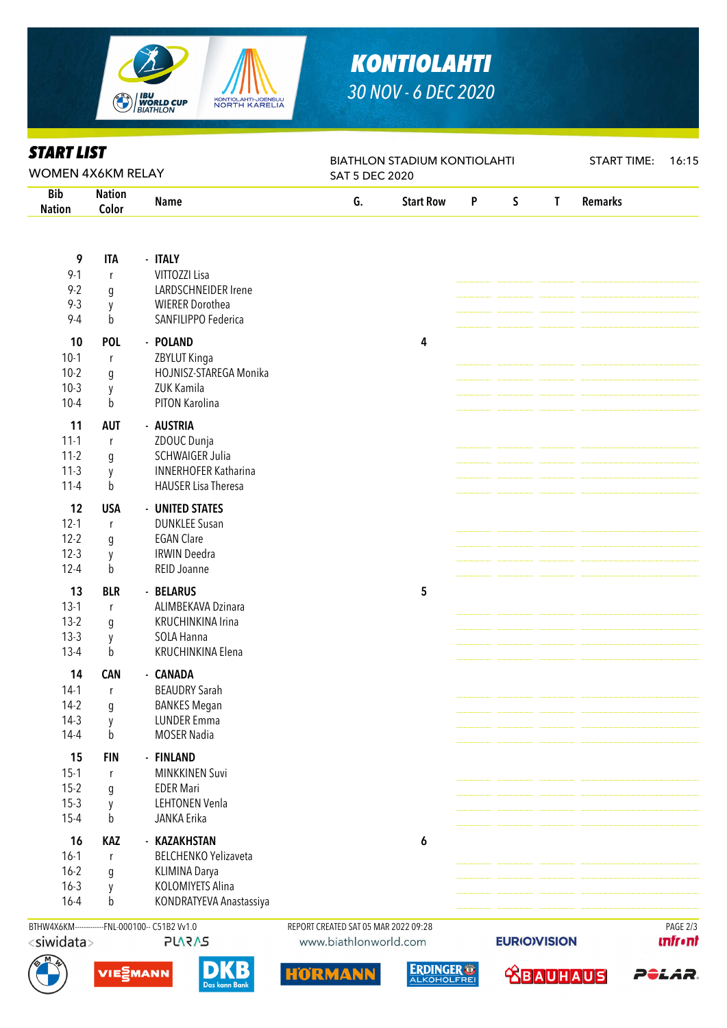

# *KONTIOLAHTI 30 NOV - 6 DEC 2020*

BIATHLON STADIUM KONTIOLAHTI

|  | <b>START LIST</b> |
|--|-------------------|
|  |                   |

Bib

### WOMEN 4X6KM RELAY SAT 5 DEC 2020 Nation Name G. Start Row P S T Remarks Nation Color 9 ITA - ITALY 9-1 <sup>r</sup> VITTOZZI Lisa 9-2 g LARDSCHNEIDER Irene 9-3 y WIERER Dorothea 9-4 b SANFILIPPO Federica 10 POL - POLAND 4 10-1 <sup>r</sup> ZBYLUT Kinga 10-2 g HOJNISZ-STAREGA Monika 10-3 y ZUK Kamila 10-4 b PITON Karolina 11 AUT - AUSTRIA 11-1 <sup>r</sup> ZDOUC Dunja 11-2 g SCHWAIGER Julia 11-3 y INNERHOFER Katharina 11-4 b HAUSER Lisa Theresa 12 USA - UNITED STATES 12-1 <sup>r</sup> DUNKLEE Susan 12-2 g EGAN Clare 12-3 y IRWIN Deedra 12-4 b REID Joanne 13 BLR - BELARUS 5 13-1 <sup>r</sup> ALIMBEKAVA Dzinara 13-2 q KRUCHINKINA Irina 13-3 y SOLA Hanna 13-4 b KRUCHINKINA Flena 14 CAN - CANADA 14-1 <sup>r</sup> BEAUDRY Sarah 14-2 q BANKES Megan 14-3 y LUNDER Emma 14-4 b MOSER Nadia 15 FIN - FINLAND 15-1 <sup>r</sup> MINKKINEN Suvi 15-2 g EDER Mari 15-3 y LEHTONEN Venla 15-4 b JANKA Erika 16 KAZ - KAZAKHSTAN 6 16-1 <sup>r</sup> BELCHENKO Yelizaveta 16-2 g KLIMINA Darya 16-3 y KOLOMIYETS Alina 16-4 b KONDRATYEVA Anastassiya BTHW4X6KM-------------FNL-000100-- C51B2 Vv1.0 REPORT CREATED SAT 05 MAR 2022 09:28 PAGE 2/3**EURIO)VISION**





www.biathlonworld.com





**ABAUHAU** 



P<del>o</del>lar.

START TIME: 16:15